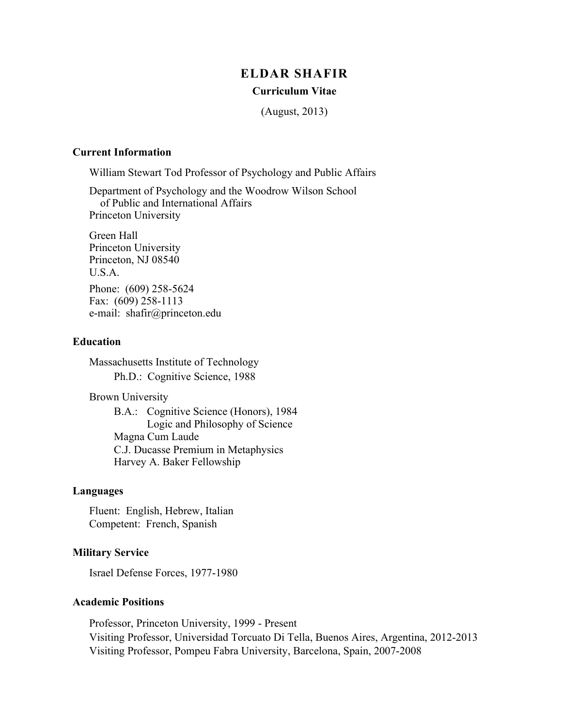# **ELDAR SHAFIR**

#### **Curriculum Vitae**

(August, 2013)

#### **Current Information**

William Stewart Tod Professor of Psychology and Public Affairs

Department of Psychology and the Woodrow Wilson School of Public and International Affairs Princeton University

Green Hall Princeton University Princeton, NJ 08540 U.S.A. Phone: (609) 258-5624 Fax: (609) 258-1113 e-mail: shafir@princeton.edu

#### **Education**

Massachusetts Institute of Technology Ph.D.: Cognitive Science, 1988

Brown University

B.A.: Cognitive Science (Honors), 1984 Logic and Philosophy of Science Magna Cum Laude C.J. Ducasse Premium in Metaphysics Harvey A. Baker Fellowship

#### **Languages**

Fluent: English, Hebrew, Italian Competent: French, Spanish

### **Military Service**

Israel Defense Forces, 1977-1980

#### **Academic Positions**

Professor, Princeton University, 1999 - Present Visiting Professor, Universidad Torcuato Di Tella, Buenos Aires, Argentina, 2012-2013 Visiting Professor, Pompeu Fabra University, Barcelona, Spain, 2007-2008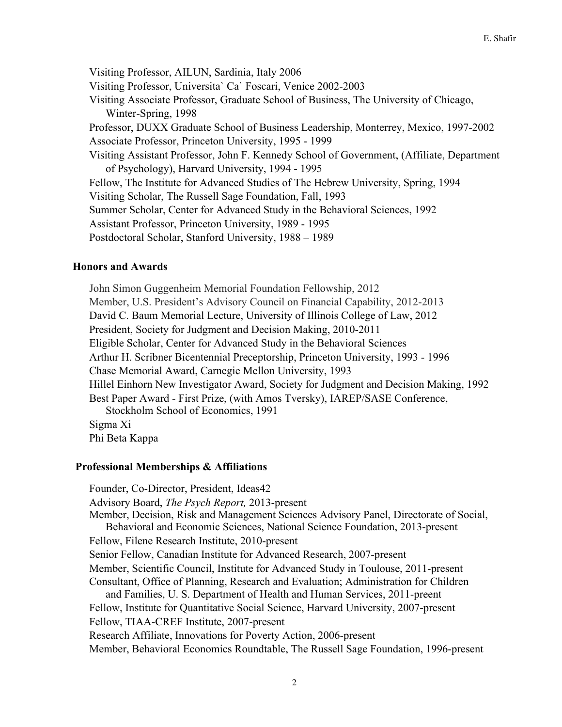Visiting Professor, AILUN, Sardinia, Italy 2006 Visiting Professor, Universita` Ca` Foscari, Venice 2002-2003 Visiting Associate Professor, Graduate School of Business, The University of Chicago, Winter-Spring, 1998 Professor, DUXX Graduate School of Business Leadership, Monterrey, Mexico, 1997-2002 Associate Professor, Princeton University, 1995 - 1999 Visiting Assistant Professor, John F. Kennedy School of Government, (Affiliate, Department of Psychology), Harvard University, 1994 - 1995 Fellow, The Institute for Advanced Studies of The Hebrew University, Spring, 1994 Visiting Scholar, The Russell Sage Foundation, Fall, 1993 Summer Scholar, Center for Advanced Study in the Behavioral Sciences, 1992 Assistant Professor, Princeton University, 1989 - 1995 Postdoctoral Scholar, Stanford University, 1988 – 1989

## **Honors and Awards**

John Simon Guggenheim Memorial Foundation Fellowship, 2012 Member, U.S. President's Advisory Council on Financial Capability, 2012-2013 David C. Baum Memorial Lecture, University of Illinois College of Law, 2012 President, Society for Judgment and Decision Making, 2010-2011 Eligible Scholar, Center for Advanced Study in the Behavioral Sciences Arthur H. Scribner Bicentennial Preceptorship, Princeton University, 1993 - 1996 Chase Memorial Award, Carnegie Mellon University, 1993 Hillel Einhorn New Investigator Award, Society for Judgment and Decision Making, 1992 Best Paper Award - First Prize, (with Amos Tversky), IAREP/SASE Conference, Stockholm School of Economics, 1991 Sigma Xi Phi Beta Kappa

## **Professional Memberships & Affiliations**

Founder, Co-Director, President, Ideas42 Advisory Board, *The Psych Report,* 2013-present Member, Decision, Risk and Management Sciences Advisory Panel, Directorate of Social, Behavioral and Economic Sciences, National Science Foundation, 2013-present Fellow, Filene Research Institute, 2010-present Senior Fellow, Canadian Institute for Advanced Research, 2007-present Member, Scientific Council, Institute for Advanced Study in Toulouse, 2011-present Consultant, Office of Planning, Research and Evaluation; Administration for Children and Families, U. S. Department of Health and Human Services, 2011-preent Fellow, Institute for Quantitative Social Science, Harvard University, 2007-present Fellow, TIAA-CREF Institute, 2007-present Research Affiliate, Innovations for Poverty Action, 2006-present Member, Behavioral Economics Roundtable, The Russell Sage Foundation, 1996-present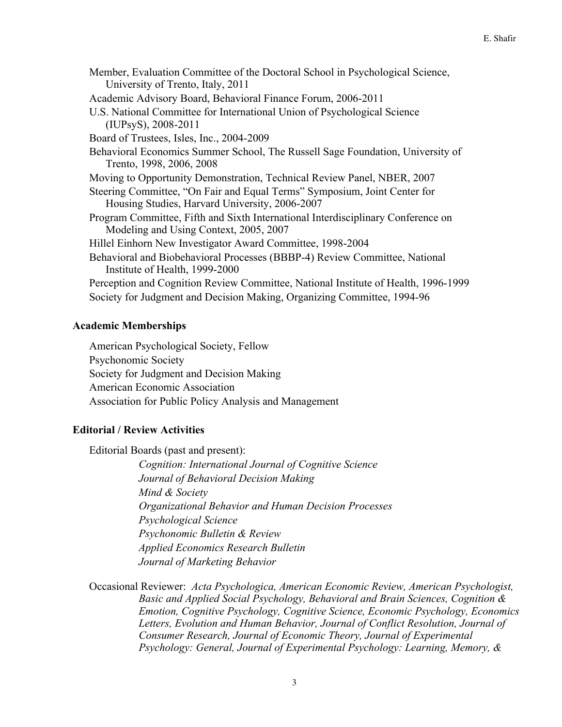Member, Evaluation Committee of the Doctoral School in Psychological Science, University of Trento, Italy, 2011 Academic Advisory Board, Behavioral Finance Forum, 2006-2011 U.S. National Committee for International Union of Psychological Science (IUPsyS), 2008-2011 Board of Trustees, Isles, Inc., 2004-2009 Behavioral Economics Summer School, The Russell Sage Foundation, University of Trento, 1998, 2006, 2008 Moving to Opportunity Demonstration, Technical Review Panel, NBER, 2007 Steering Committee, "On Fair and Equal Terms" Symposium, Joint Center for Housing Studies, Harvard University, 2006-2007 Program Committee, Fifth and Sixth International Interdisciplinary Conference on Modeling and Using Context, 2005, 2007 Hillel Einhorn New Investigator Award Committee, 1998-2004 Behavioral and Biobehavioral Processes (BBBP-4) Review Committee, National Institute of Health, 1999-2000 Perception and Cognition Review Committee, National Institute of Health, 1996-1999 Society for Judgment and Decision Making, Organizing Committee, 1994-96

# **Academic Memberships**

American Psychological Society, Fellow Psychonomic Society Society for Judgment and Decision Making American Economic Association Association for Public Policy Analysis and Management

# **Editorial / Review Activities**

Editorial Boards (past and present):

*Cognition: International Journal of Cognitive Science Journal of Behavioral Decision Making Mind & Society Organizational Behavior and Human Decision Processes Psychological Science Psychonomic Bulletin & Review Applied Economics Research Bulletin Journal of Marketing Behavior*

Occasional Reviewer: *Acta Psychologica, American Economic Review, American Psychologist, Basic and Applied Social Psychology, Behavioral and Brain Sciences, Cognition & Emotion, Cognitive Psychology, Cognitive Science, Economic Psychology, Economics Letters, Evolution and Human Behavior, Journal of Conflict Resolution, Journal of Consumer Research, Journal of Economic Theory, Journal of Experimental Psychology: General, Journal of Experimental Psychology: Learning, Memory, &*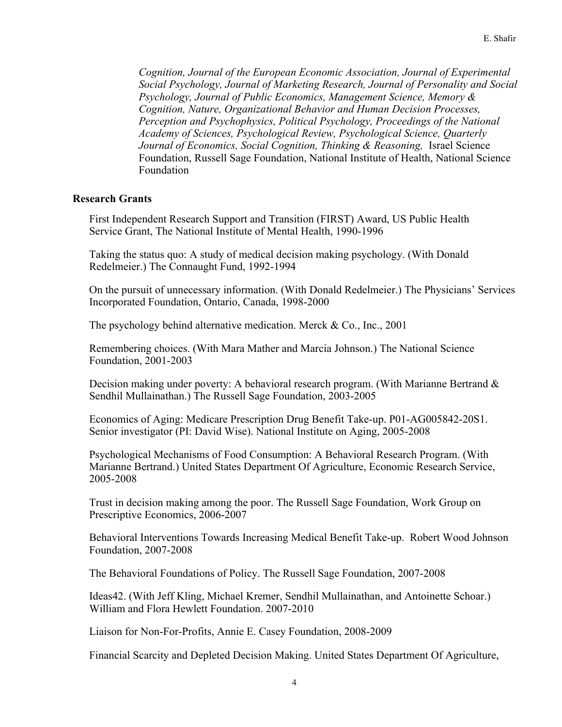*Cognition, Journal of the European Economic Association, Journal of Experimental Social Psychology, Journal of Marketing Research, Journal of Personality and Social Psychology, Journal of Public Economics, Management Science, Memory & Cognition, Nature, Organizational Behavior and Human Decision Processes, Perception and Psychophysics, Political Psychology, Proceedings of the National Academy of Sciences, Psychological Review, Psychological Science, Quarterly Journal of Economics, Social Cognition, Thinking & Reasoning,* Israel Science Foundation, Russell Sage Foundation, National Institute of Health, National Science Foundation

## **Research Grants**

First Independent Research Support and Transition (FIRST) Award, US Public Health Service Grant, The National Institute of Mental Health, 1990-1996

Taking the status quo: A study of medical decision making psychology. (With Donald Redelmeier.) The Connaught Fund, 1992-1994

On the pursuit of unnecessary information. (With Donald Redelmeier.) The Physicians' Services Incorporated Foundation, Ontario, Canada, 1998-2000

The psychology behind alternative medication. Merck & Co., Inc., 2001

Remembering choices. (With Mara Mather and Marcia Johnson.) The National Science Foundation, 2001-2003

Decision making under poverty: A behavioral research program. (With Marianne Bertrand & Sendhil Mullainathan.) The Russell Sage Foundation, 2003-2005

Economics of Aging: Medicare Prescription Drug Benefit Take-up. P01-AG005842-20S1. Senior investigator (PI: David Wise). National Institute on Aging, 2005-2008

Psychological Mechanisms of Food Consumption: A Behavioral Research Program. (With Marianne Bertrand.) United States Department Of Agriculture, Economic Research Service, 2005-2008

Trust in decision making among the poor. The Russell Sage Foundation, Work Group on Prescriptive Economics, 2006-2007

Behavioral Interventions Towards Increasing Medical Benefit Take-up. Robert Wood Johnson Foundation, 2007-2008

The Behavioral Foundations of Policy. The Russell Sage Foundation, 2007-2008

Ideas42. (With Jeff Kling, Michael Kremer, Sendhil Mullainathan, and Antoinette Schoar.) William and Flora Hewlett Foundation. 2007-2010

Liaison for Non-For-Profits, Annie E. Casey Foundation, 2008-2009

Financial Scarcity and Depleted Decision Making. United States Department Of Agriculture,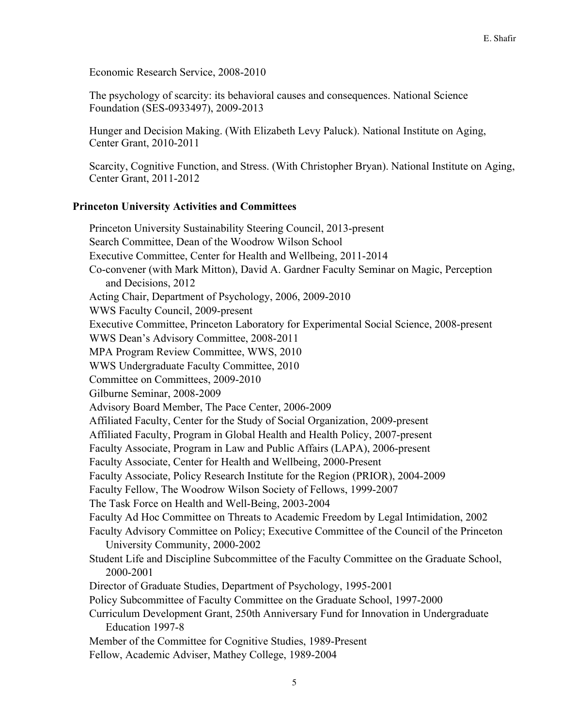Economic Research Service, 2008-2010

The psychology of scarcity: its behavioral causes and consequences. National Science Foundation (SES-0933497), 2009-2013

Hunger and Decision Making. (With Elizabeth Levy Paluck). National Institute on Aging, Center Grant, 2010-2011

Scarcity, Cognitive Function, and Stress. (With Christopher Bryan). National Institute on Aging, Center Grant, 2011-2012

## **Princeton University Activities and Committees**

Princeton University Sustainability Steering Council, 2013-present Search Committee, Dean of the Woodrow Wilson School Executive Committee, Center for Health and Wellbeing, 2011-2014 Co-convener (with Mark Mitton), David A. Gardner Faculty Seminar on Magic, Perception and Decisions, 2012 Acting Chair, Department of Psychology, 2006, 2009-2010 WWS Faculty Council, 2009-present Executive Committee, Princeton Laboratory for Experimental Social Science, 2008-present WWS Dean's Advisory Committee, 2008-2011 MPA Program Review Committee, WWS, 2010 WWS Undergraduate Faculty Committee, 2010 Committee on Committees, 2009-2010 Gilburne Seminar, 2008-2009 Advisory Board Member, The Pace Center, 2006-2009 Affiliated Faculty, Center for the Study of Social Organization, 2009-present Affiliated Faculty, Program in Global Health and Health Policy, 2007-present Faculty Associate, Program in Law and Public Affairs (LAPA), 2006-present Faculty Associate, Center for Health and Wellbeing, 2000-Present Faculty Associate, Policy Research Institute for the Region (PRIOR), 2004-2009 Faculty Fellow, The Woodrow Wilson Society of Fellows, 1999-2007 The Task Force on Health and Well-Being, 2003-2004 Faculty Ad Hoc Committee on Threats to Academic Freedom by Legal Intimidation, 2002 Faculty Advisory Committee on Policy; Executive Committee of the Council of the Princeton University Community, 2000-2002 Student Life and Discipline Subcommittee of the Faculty Committee on the Graduate School, 2000-2001 Director of Graduate Studies, Department of Psychology, 1995-2001 Policy Subcommittee of Faculty Committee on the Graduate School, 1997-2000 Curriculum Development Grant, 250th Anniversary Fund for Innovation in Undergraduate Education 1997-8 Member of the Committee for Cognitive Studies, 1989-Present Fellow, Academic Adviser, Mathey College, 1989-2004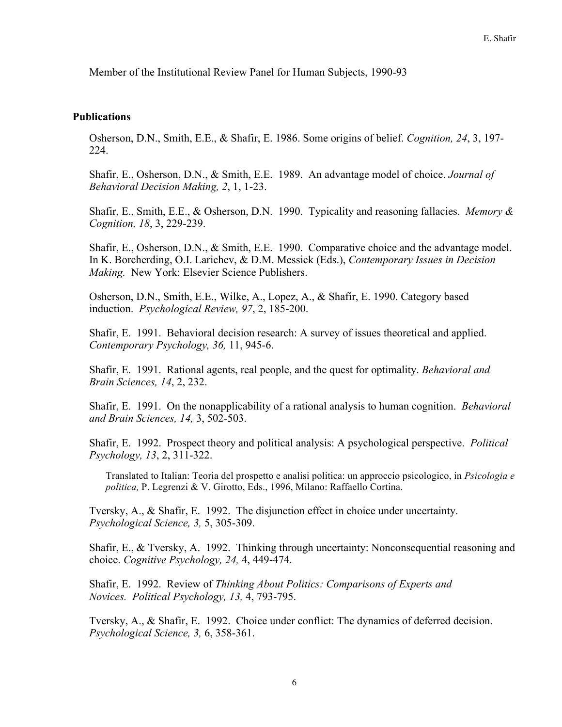Member of the Institutional Review Panel for Human Subjects, 1990-93

### **Publications**

Osherson, D.N., Smith, E.E., & Shafir, E. 1986. Some origins of belief. *Cognition, 24*, 3, 197- 224.

Shafir, E., Osherson, D.N., & Smith, E.E. 1989. An advantage model of choice. *Journal of Behavioral Decision Making, 2*, 1, 1-23.

Shafir, E., Smith, E.E., & Osherson, D.N. 1990. Typicality and reasoning fallacies. *Memory & Cognition, 18*, 3, 229-239.

Shafir, E., Osherson, D.N., & Smith, E.E. 1990. Comparative choice and the advantage model. In K. Borcherding, O.I. Larichev, & D.M. Messick (Eds.), *Contemporary Issues in Decision Making.* New York: Elsevier Science Publishers.

Osherson, D.N., Smith, E.E., Wilke, A., Lopez, A., & Shafir, E. 1990. Category based induction. *Psychological Review, 97*, 2, 185-200.

Shafir, E. 1991. Behavioral decision research: A survey of issues theoretical and applied. *Contemporary Psychology, 36,* 11, 945-6.

Shafir, E. 1991. Rational agents, real people, and the quest for optimality. *Behavioral and Brain Sciences, 14*, 2, 232.

Shafir, E. 1991. On the nonapplicability of a rational analysis to human cognition. *Behavioral and Brain Sciences, 14,* 3, 502-503.

Shafir, E. 1992. Prospect theory and political analysis: A psychological perspective. *Political Psychology, 13*, 2, 311-322.

Translated to Italian: Teoria del prospetto e analisi politica: un approccio psicologico, in *Psicologia e politica,* P. Legrenzi & V. Girotto, Eds., 1996, Milano: Raffaello Cortina.

Tversky, A., & Shafir, E. 1992. The disjunction effect in choice under uncertainty. *Psychological Science, 3,* 5, 305-309.

Shafir, E., & Tversky, A. 1992. Thinking through uncertainty: Nonconsequential reasoning and choice. *Cognitive Psychology, 24,* 4, 449-474.

Shafir, E. 1992. Review of *Thinking About Politics: Comparisons of Experts and Novices. Political Psychology, 13,* 4, 793-795.

Tversky, A., & Shafir, E. 1992. Choice under conflict: The dynamics of deferred decision. *Psychological Science, 3,* 6, 358-361.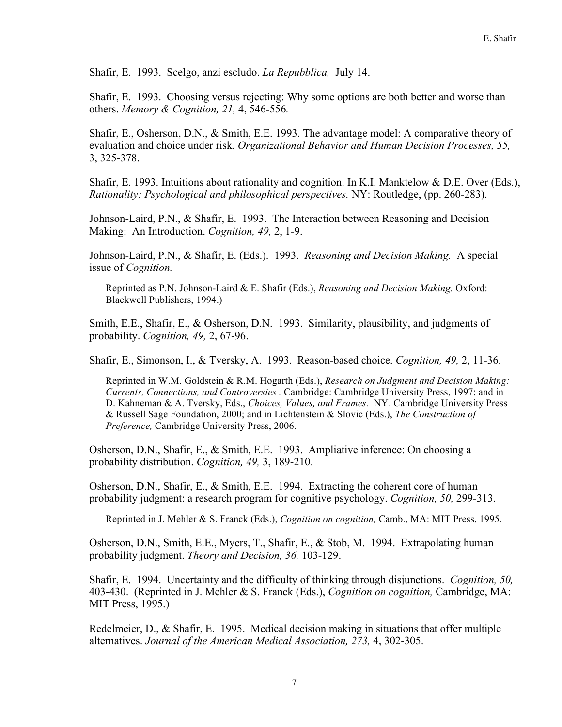Shafir, E. 1993. Scelgo, anzi escludo. *La Repubblica,* July 14.

Shafir, E. 1993. Choosing versus rejecting: Why some options are both better and worse than others. *Memory & Cognition, 21,* 4, 546-556*.*

Shafir, E., Osherson, D.N., & Smith, E.E. 1993. The advantage model: A comparative theory of evaluation and choice under risk. *Organizational Behavior and Human Decision Processes, 55,* 3, 325-378.

Shafir, E. 1993. Intuitions about rationality and cognition. In K.I. Manktelow & D.E. Over (Eds.), *Rationality: Psychological and philosophical perspectives.* NY: Routledge, (pp. 260-283).

Johnson-Laird, P.N., & Shafir, E. 1993. The Interaction between Reasoning and Decision Making: An Introduction. *Cognition, 49,* 2, 1-9.

Johnson-Laird, P.N., & Shafir, E. (Eds.). 1993. *Reasoning and Decision Making.* A special issue of *Cognition.*

Reprinted as P.N. Johnson-Laird & E. Shafir (Eds.), *Reasoning and Decision Making.* Oxford: Blackwell Publishers, 1994.)

Smith, E.E., Shafir, E., & Osherson, D.N. 1993. Similarity, plausibility, and judgments of probability. *Cognition, 49,* 2, 67-96.

Shafir, E., Simonson, I., & Tversky, A. 1993. Reason-based choice. *Cognition, 49,* 2, 11-36.

Reprinted in W.M. Goldstein & R.M. Hogarth (Eds.), *Research on Judgment and Decision Making: Currents, Connections, and Controversies .* Cambridge: Cambridge University Press, 1997; and in D. Kahneman & A. Tversky, Eds., *Choices, Values, and Frames.* NY. Cambridge University Press & Russell Sage Foundation, 2000; and in Lichtenstein & Slovic (Eds.), *The Construction of Preference,* Cambridge University Press, 2006.

Osherson, D.N., Shafir, E., & Smith, E.E. 1993. Ampliative inference: On choosing a probability distribution. *Cognition, 49,* 3, 189-210.

Osherson, D.N., Shafir, E., & Smith, E.E. 1994. Extracting the coherent core of human probability judgment: a research program for cognitive psychology. *Cognition, 50,* 299-313.

Reprinted in J. Mehler & S. Franck (Eds.), *Cognition on cognition,* Camb., MA: MIT Press, 1995.

Osherson, D.N., Smith, E.E., Myers, T., Shafir, E., & Stob, M. 1994. Extrapolating human probability judgment. *Theory and Decision, 36,* 103-129.

Shafir, E. 1994. Uncertainty and the difficulty of thinking through disjunctions. *Cognition, 50,* 403-430. (Reprinted in J. Mehler & S. Franck (Eds.), *Cognition on cognition,* Cambridge, MA: MIT Press, 1995.)

Redelmeier, D., & Shafir, E. 1995. Medical decision making in situations that offer multiple alternatives. *Journal of the American Medical Association, 273,* 4, 302-305.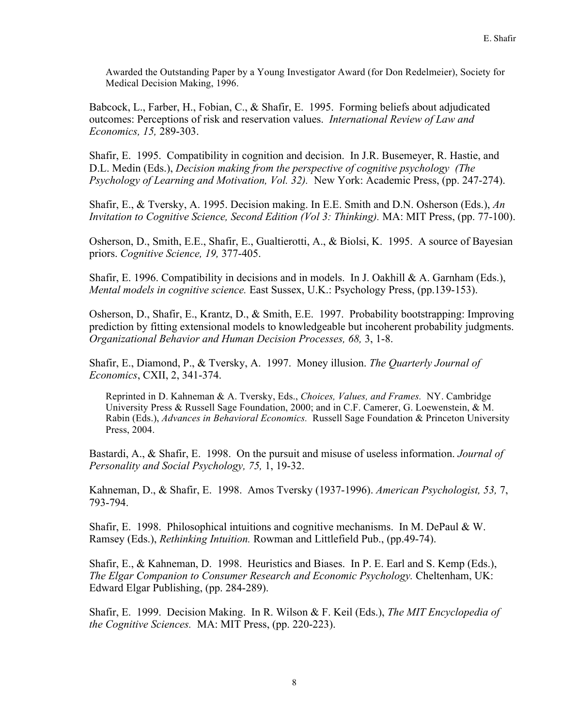Awarded the Outstanding Paper by a Young Investigator Award (for Don Redelmeier), Society for Medical Decision Making, 1996.

Babcock, L., Farber, H., Fobian, C., & Shafir, E. 1995. Forming beliefs about adjudicated outcomes: Perceptions of risk and reservation values. *International Review of Law and Economics, 15,* 289-303.

Shafir, E. 1995. Compatibility in cognition and decision. In J.R. Busemeyer, R. Hastie, and D.L. Medin (Eds.), *Decision making from the perspective of cognitive psychology (The Psychology of Learning and Motivation, Vol. 32).* New York: Academic Press, (pp. 247-274).

Shafir, E., & Tversky, A. 1995. Decision making. In E.E. Smith and D.N. Osherson (Eds.), *An Invitation to Cognitive Science, Second Edition (Vol 3: Thinking).* MA: MIT Press, (pp. 77-100).

Osherson, D., Smith, E.E., Shafir, E., Gualtierotti, A., & Biolsi, K. 1995. A source of Bayesian priors. *Cognitive Science, 19,* 377-405.

Shafir, E. 1996. Compatibility in decisions and in models. In J. Oakhill & A. Garnham (Eds.), *Mental models in cognitive science.* East Sussex, U.K.: Psychology Press, (pp.139-153).

Osherson, D., Shafir, E., Krantz, D., & Smith, E.E. 1997. Probability bootstrapping: Improving prediction by fitting extensional models to knowledgeable but incoherent probability judgments. *Organizational Behavior and Human Decision Processes, 68,* 3, 1-8.

Shafir, E., Diamond, P., & Tversky, A. 1997. Money illusion. *The Quarterly Journal of Economics*, CXII, 2, 341-374.

Reprinted in D. Kahneman & A. Tversky, Eds., *Choices, Values, and Frames.* NY. Cambridge University Press & Russell Sage Foundation, 2000; and in C.F. Camerer, G. Loewenstein, & M. Rabin (Eds.), *Advances in Behavioral Economics.* Russell Sage Foundation & Princeton University Press, 2004.

Bastardi, A., & Shafir, E. 1998. On the pursuit and misuse of useless information. *Journal of Personality and Social Psychology, 75,* 1, 19-32.

Kahneman, D., & Shafir, E. 1998. Amos Tversky (1937-1996). *American Psychologist, 53,* 7, 793-794.

Shafir, E. 1998. Philosophical intuitions and cognitive mechanisms. In M. DePaul & W. Ramsey (Eds.), *Rethinking Intuition.* Rowman and Littlefield Pub., (pp.49-74).

Shafir, E., & Kahneman, D. 1998. Heuristics and Biases. In P. E. Earl and S. Kemp (Eds.), *The Elgar Companion to Consumer Research and Economic Psychology.* Cheltenham, UK: Edward Elgar Publishing, (pp. 284-289).

Shafir, E. 1999. Decision Making. In R. Wilson & F. Keil (Eds.), *The MIT Encyclopedia of the Cognitive Sciences.* MA: MIT Press, (pp. 220-223).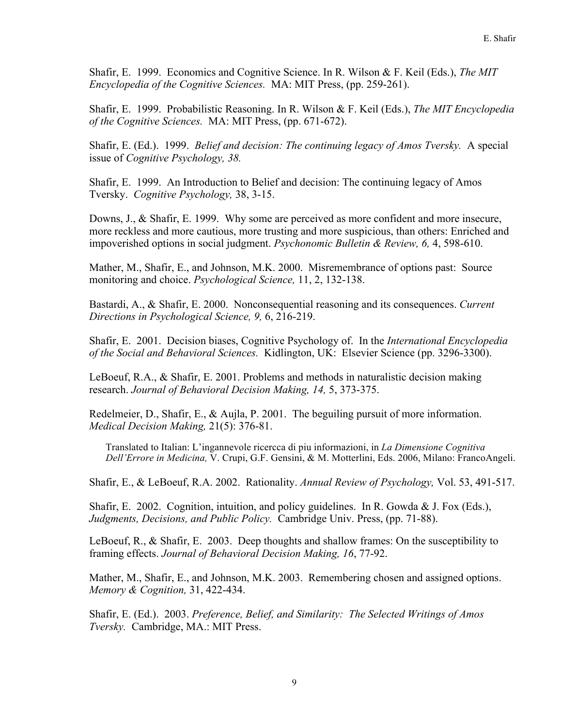Shafir, E. 1999. Economics and Cognitive Science. In R. Wilson & F. Keil (Eds.), *The MIT Encyclopedia of the Cognitive Sciences.* MA: MIT Press, (pp. 259-261).

Shafir, E. 1999. Probabilistic Reasoning. In R. Wilson & F. Keil (Eds.), *The MIT Encyclopedia of the Cognitive Sciences.* MA: MIT Press, (pp. 671-672).

Shafir, E. (Ed.). 1999. *Belief and decision: The continuing legacy of Amos Tversky.* A special issue of *Cognitive Psychology, 38.*

Shafir, E. 1999. An Introduction to Belief and decision: The continuing legacy of Amos Tversky. *Cognitive Psychology,* 38, 3-15.

Downs, J., & Shafir, E. 1999. Why some are perceived as more confident and more insecure, more reckless and more cautious, more trusting and more suspicious, than others: Enriched and impoverished options in social judgment. *Psychonomic Bulletin & Review, 6,* 4, 598-610.

Mather, M., Shafir, E., and Johnson, M.K. 2000. Misremembrance of options past: Source monitoring and choice. *Psychological Science,* 11, 2, 132-138.

Bastardi, A., & Shafir, E. 2000. Nonconsequential reasoning and its consequences. *Current Directions in Psychological Science, 9,* 6, 216-219.

Shafir, E. 2001. Decision biases, Cognitive Psychology of. In the *International Encyclopedia of the Social and Behavioral Sciences.* Kidlington, UK: Elsevier Science (pp. 3296-3300).

LeBoeuf, R.A., & Shafir, E. 2001. Problems and methods in naturalistic decision making research. *Journal of Behavioral Decision Making, 14,* 5, 373-375.

Redelmeier, D., Shafir, E., & Aujla, P. 2001. The beguiling pursuit of more information. *Medical Decision Making,* 21(5): 376-81.

Translated to Italian: L'ingannevole ricercca di piu informazioni, in *La Dimensione Cognitiva Dell'Errore in Medicina,* V. Crupi, G.F. Gensini, & M. Motterlini, Eds. 2006, Milano: FrancoAngeli.

Shafir, E., & LeBoeuf, R.A. 2002. Rationality. *Annual Review of Psychology,* Vol. 53, 491-517.

Shafir, E. 2002. Cognition, intuition, and policy guidelines. In R. Gowda & J. Fox (Eds.), *Judgments, Decisions, and Public Policy.* Cambridge Univ. Press, (pp. 71-88).

LeBoeuf, R., & Shafir, E. 2003. Deep thoughts and shallow frames: On the susceptibility to framing effects. *Journal of Behavioral Decision Making, 16*, 77-92.

Mather, M., Shafir, E., and Johnson, M.K. 2003. Remembering chosen and assigned options. *Memory & Cognition,* 31, 422-434.

Shafir, E. (Ed.). 2003. *Preference, Belief, and Similarity: The Selected Writings of Amos Tversky.* Cambridge, MA.: MIT Press.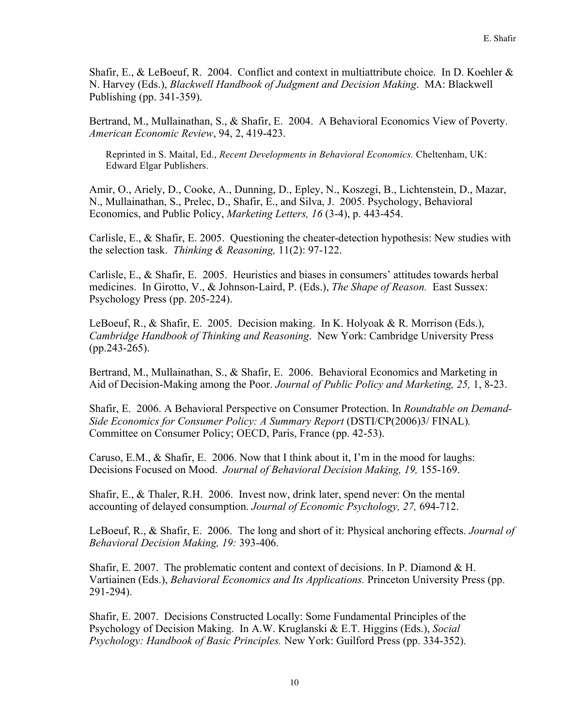Shafir, E., & LeBoeuf, R. 2004. Conflict and context in multiattribute choice. In D. Koehler & N. Harvey (Eds.), *Blackwell Handbook of Judgment and Decision Making*. MA: Blackwell Publishing (pp. 341-359).

Bertrand, M., Mullainathan, S., & Shafir, E. 2004. A Behavioral Economics View of Poverty. *American Economic Review*, 94, 2, 419-423.

Reprinted in S. Maital, Ed., *Recent Developments in Behavioral Economics.* Cheltenham, UK: Edward Elgar Publishers.

Amir, O., Ariely, D., Cooke, A., Dunning, D., Epley, N., Koszegi, B., Lichtenstein, D., Mazar, N., Mullainathan, S., Prelec, D., Shafir, E., and Silva, J. 2005. Psychology, Behavioral Economics, and Public Policy, *Marketing Letters, 16* (3-4), p. 443-454.

Carlisle, E., & Shafir, E. 2005. Questioning the cheater-detection hypothesis: New studies with the selection task. *Thinking & Reasoning,* 11(2): 97-122.

Carlisle, E., & Shafir, E. 2005. Heuristics and biases in consumers' attitudes towards herbal medicines. In Girotto, V., & Johnson-Laird, P. (Eds.), *The Shape of Reason.* East Sussex: Psychology Press (pp. 205-224).

LeBoeuf, R., & Shafir, E. 2005. Decision making. In K. Holyoak & R. Morrison (Eds.), *Cambridge Handbook of Thinking and Reasoning*. New York: Cambridge University Press (pp.243-265).

Bertrand, M., Mullainathan, S., & Shafir, E. 2006. Behavioral Economics and Marketing in Aid of Decision-Making among the Poor. *Journal of Public Policy and Marketing, 25,* 1, 8-23.

Shafir, E. 2006. A Behavioral Perspective on Consumer Protection. In *Roundtable on Demand-Side Economics for Consumer Policy: A Summary Report (DSTI/CP(2006)3/ FINAL).* Committee on Consumer Policy; OECD, Paris, France (pp. 42-53).

Caruso, E.M., & Shafir, E. 2006. Now that I think about it, I'm in the mood for laughs: Decisions Focused on Mood. *Journal of Behavioral Decision Making, 19,* 155-169.

Shafir, E., & Thaler, R.H. 2006. Invest now, drink later, spend never: On the mental accounting of delayed consumption. *Journal of Economic Psychology, 27,* 694-712.

LeBoeuf, R., & Shafir, E. 2006. The long and short of it: Physical anchoring effects. *Journal of Behavioral Decision Making, 19:* 393-406.

Shafir, E. 2007. The problematic content and context of decisions. In P. Diamond  $\&$  H. Vartiainen (Eds.), *Behavioral Economics and Its Applications.* Princeton University Press (pp. 291-294).

Shafir, E. 2007. Decisions Constructed Locally: Some Fundamental Principles of the Psychology of Decision Making. In A.W. Kruglanski & E.T. Higgins (Eds.), *Social Psychology: Handbook of Basic Principles.* New York: Guilford Press (pp. 334-352).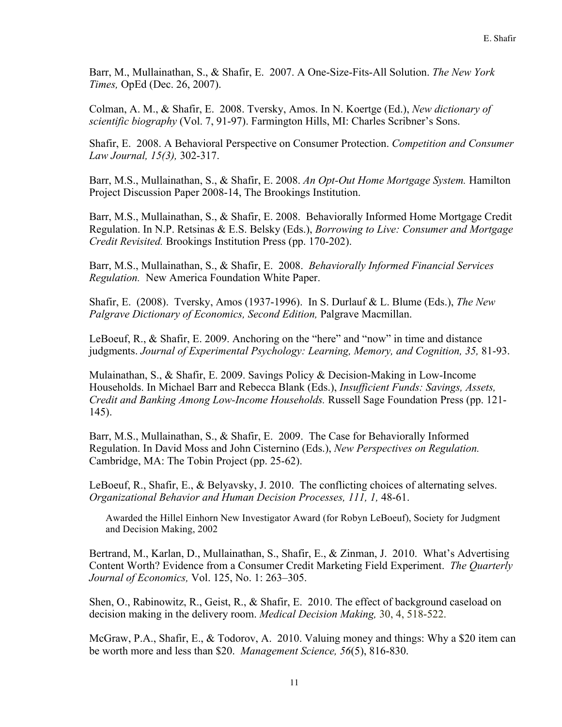Barr, M., Mullainathan, S., & Shafir, E. 2007. A One-Size-Fits-All Solution. *The New York Times,* OpEd (Dec. 26, 2007).

Colman, A. M., & Shafir, E. 2008. Tversky, Amos. In N. Koertge (Ed.), *New dictionary of scientific biography* (Vol. 7, 91-97). Farmington Hills, MI: Charles Scribner's Sons.

Shafir, E. 2008. A Behavioral Perspective on Consumer Protection. *Competition and Consumer Law Journal, 15(3),* 302-317.

Barr, M.S., Mullainathan, S., & Shafir, E. 2008. *An Opt-Out Home Mortgage System.* Hamilton Project Discussion Paper 2008-14, The Brookings Institution.

Barr, M.S., Mullainathan, S., & Shafir, E. 2008. Behaviorally Informed Home Mortgage Credit Regulation. In N.P. Retsinas & E.S. Belsky (Eds.), *Borrowing to Live: Consumer and Mortgage Credit Revisited.* Brookings Institution Press (pp. 170-202).

Barr, M.S., Mullainathan, S., & Shafir, E. 2008. *Behaviorally Informed Financial Services Regulation.* New America Foundation White Paper.

Shafir, E. (2008). Tversky, Amos (1937-1996). In S. Durlauf & L. Blume (Eds.), *The New Palgrave Dictionary of Economics, Second Edition,* Palgrave Macmillan.

LeBoeuf, R., & Shafir, E. 2009. Anchoring on the "here" and "now" in time and distance judgments. *Journal of Experimental Psychology: Learning, Memory, and Cognition, 35,* 81-93.

Mulainathan, S., & Shafir, E. 2009. Savings Policy & Decision-Making in Low-Income Households. In Michael Barr and Rebecca Blank (Eds.), *Insufficient Funds: Savings, Assets, Credit and Banking Among Low-Income Households.* Russell Sage Foundation Press (pp. 121- 145).

Barr, M.S., Mullainathan, S., & Shafir, E. 2009. The Case for Behaviorally Informed Regulation. In David Moss and John Cisternino (Eds.), *New Perspectives on Regulation.* Cambridge, MA: The Tobin Project (pp. 25-62).

LeBoeuf, R., Shafir, E., & Belyavsky, J. 2010. The conflicting choices of alternating selves. *Organizational Behavior and Human Decision Processes, 111, 1,* 48-61.

Awarded the Hillel Einhorn New Investigator Award (for Robyn LeBoeuf), Society for Judgment and Decision Making, 2002

Bertrand, M., Karlan, D., Mullainathan, S., Shafir, E., & Zinman, J. 2010. What's Advertising Content Worth? Evidence from a Consumer Credit Marketing Field Experiment. *The Quarterly Journal of Economics,* Vol. 125, No. 1: 263–305.

Shen, O., Rabinowitz, R., Geist, R., & Shafir, E. 2010. The effect of background caseload on decision making in the delivery room. *Medical Decision Making,* 30, 4, 518-522.

McGraw, P.A., Shafir, E., & Todorov, A. 2010. Valuing money and things: Why a \$20 item can be worth more and less than \$20. *Management Science, 56*(5), 816-830.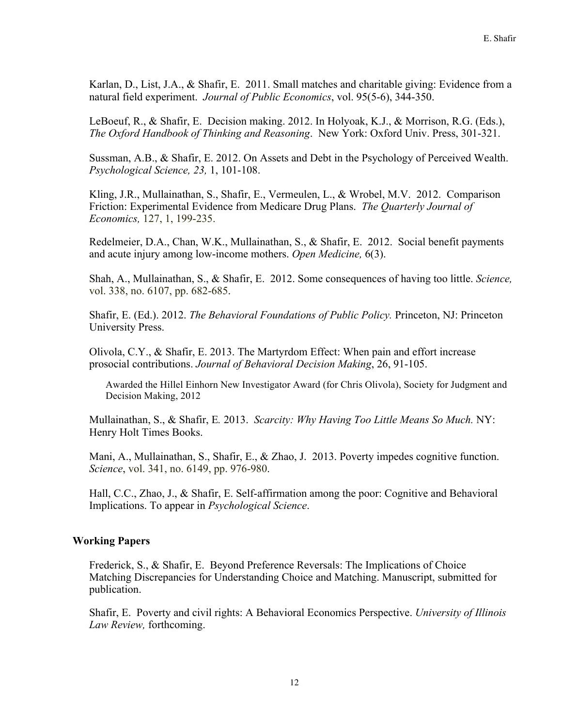Karlan, D., List, J.A., & Shafir, E. 2011. Small matches and charitable giving: Evidence from a natural field experiment. *Journal of Public Economics*, vol. 95(5-6), 344-350.

LeBoeuf, R., & Shafir, E. Decision making. 2012. In Holyoak, K.J., & Morrison, R.G. (Eds.), *The Oxford Handbook of Thinking and Reasoning*. New York: Oxford Univ. Press, 301-321.

Sussman, A.B., & Shafir, E. 2012. On Assets and Debt in the Psychology of Perceived Wealth. *Psychological Science, 23,* 1, 101-108.

Kling, J.R., Mullainathan, S., Shafir, E., Vermeulen, L., & Wrobel, M.V. 2012. Comparison Friction: Experimental Evidence from Medicare Drug Plans. *The Quarterly Journal of Economics,* 127, 1, 199-235.

Redelmeier, D.A., Chan, W.K., Mullainathan, S., & Shafir, E. 2012. Social benefit payments and acute injury among low-income mothers. *Open Medicine,* 6(3).

Shah, A., Mullainathan, S., & Shafir, E. 2012. Some consequences of having too little. *Science,* vol. 338, no. 6107, pp. 682-685.

Shafir, E. (Ed.). 2012. *The Behavioral Foundations of Public Policy.* Princeton, NJ: Princeton University Press.

Olivola, C.Y., & Shafir, E. 2013. The Martyrdom Effect: When pain and effort increase prosocial contributions. *Journal of Behavioral Decision Making*, 26, 91-105.

Awarded the Hillel Einhorn New Investigator Award (for Chris Olivola), Society for Judgment and Decision Making, 2012

Mullainathan, S., & Shafir, E*.* 2013. *Scarcity: Why Having Too Little Means So Much.* NY: Henry Holt Times Books.

Mani, A., Mullainathan, S., Shafir, E., & Zhao, J. 2013. Poverty impedes cognitive function. *Science*, vol. 341, no. 6149, pp. 976-980.

Hall, C.C., Zhao, J., & Shafir, E. Self-affirmation among the poor: Cognitive and Behavioral Implications. To appear in *Psychological Science*.

## **Working Papers**

Frederick, S., & Shafir, E. Beyond Preference Reversals: The Implications of Choice Matching Discrepancies for Understanding Choice and Matching. Manuscript, submitted for publication.

Shafir, E. Poverty and civil rights: A Behavioral Economics Perspective. *University of Illinois Law Review,* forthcoming.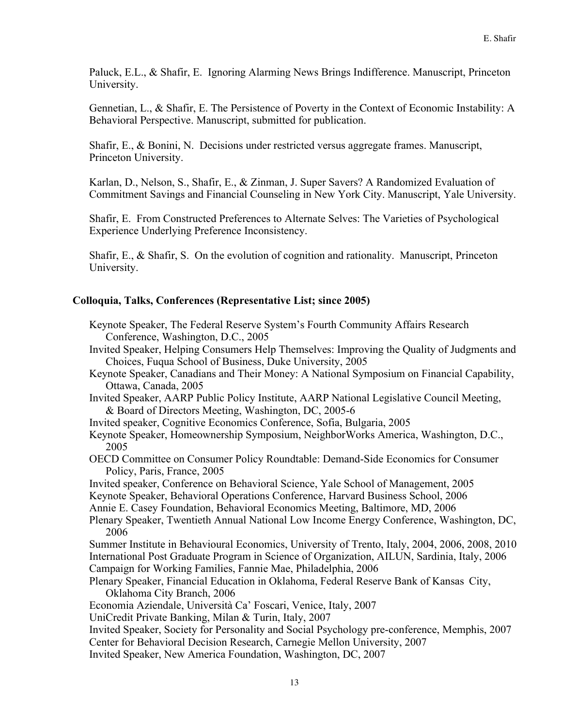Paluck, E.L., & Shafir, E. Ignoring Alarming News Brings Indifference. Manuscript, Princeton University.

Gennetian, L., & Shafir, E. The Persistence of Poverty in the Context of Economic Instability: A Behavioral Perspective. Manuscript, submitted for publication.

Shafir, E., & Bonini, N. Decisions under restricted versus aggregate frames. Manuscript, Princeton University.

Karlan, D., Nelson, S., Shafir, E., & Zinman, J. Super Savers? A Randomized Evaluation of Commitment Savings and Financial Counseling in New York City. Manuscript, Yale University.

Shafir, E. From Constructed Preferences to Alternate Selves: The Varieties of Psychological Experience Underlying Preference Inconsistency.

Shafir, E., & Shafir, S. On the evolution of cognition and rationality. Manuscript, Princeton University.

## **Colloquia, Talks, Conferences (Representative List; since 2005)**

- Keynote Speaker, The Federal Reserve System's Fourth Community Affairs Research Conference, Washington, D.C., 2005
- Invited Speaker, Helping Consumers Help Themselves: Improving the Quality of Judgments and Choices, Fuqua School of Business, Duke University, 2005
- Keynote Speaker, Canadians and Their Money: A National Symposium on Financial Capability, Ottawa, Canada, 2005
- Invited Speaker, AARP Public Policy Institute, AARP National Legislative Council Meeting, & Board of Directors Meeting, Washington, DC, 2005-6
- Invited speaker, Cognitive Economics Conference, Sofia, Bulgaria, 2005

Keynote Speaker, Homeownership Symposium, NeighborWorks America, Washington, D.C., 2005

- OECD Committee on Consumer Policy Roundtable: Demand-Side Economics for Consumer Policy, Paris, France, 2005
- Invited speaker, Conference on Behavioral Science, Yale School of Management, 2005
- Keynote Speaker, Behavioral Operations Conference, Harvard Business School, 2006
- Annie E. Casey Foundation, Behavioral Economics Meeting, Baltimore, MD, 2006
- Plenary Speaker, Twentieth Annual National Low Income Energy Conference, Washington, DC, 2006
- Summer Institute in Behavioural Economics, University of Trento, Italy, 2004, 2006, 2008, 2010 International Post Graduate Program in Science of Organization, AILUN, Sardinia, Italy, 2006 Campaign for Working Families, Fannie Mae, Philadelphia, 2006
- Plenary Speaker, Financial Education in Oklahoma, Federal Reserve Bank of Kansas City, Oklahoma City Branch, 2006

Economia Aziendale, Università Ca' Foscari, Venice, Italy, 2007

UniCredit Private Banking, Milan & Turin, Italy, 2007

Invited Speaker, Society for Personality and Social Psychology pre-conference, Memphis, 2007 Center for Behavioral Decision Research, Carnegie Mellon University, 2007

Invited Speaker, New America Foundation, Washington, DC, 2007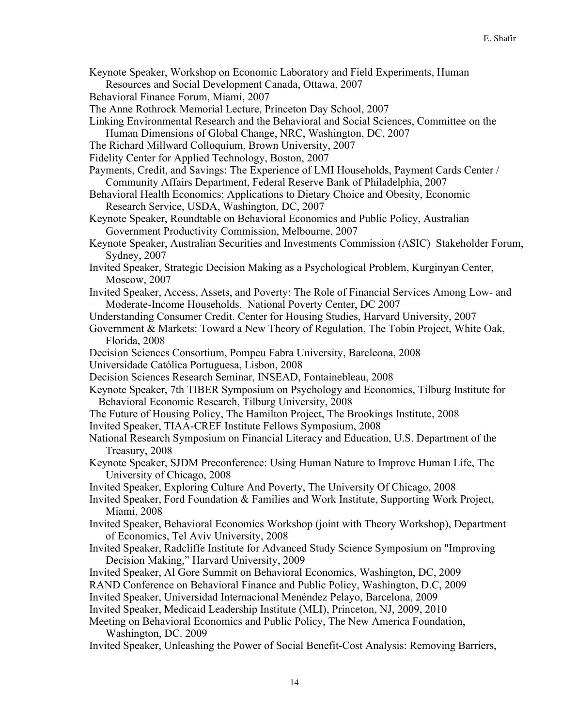Keynote Speaker, Workshop on Economic Laboratory and Field Experiments, Human

Resources and Social Development Canada, Ottawa, 2007

- Behavioral Finance Forum, Miami, 2007
- The Anne Rothrock Memorial Lecture, Princeton Day School, 2007
- Linking Environmental Research and the Behavioral and Social Sciences, Committee on the Human Dimensions of Global Change, NRC, Washington, DC, 2007
- The Richard Millward Colloquium, Brown University, 2007
- Fidelity Center for Applied Technology, Boston, 2007
- Payments, Credit, and Savings: The Experience of LMI Households, Payment Cards Center / Community Affairs Department, Federal Reserve Bank of Philadelphia, 2007
- Behavioral Health Economics: Applications to Dietary Choice and Obesity, Economic Research Service, USDA, Washington, DC, 2007
- Keynote Speaker, Roundtable on Behavioral Economics and Public Policy, Australian Government Productivity Commission, Melbourne, 2007
- Keynote Speaker, Australian Securities and Investments Commission (ASIC) Stakeholder Forum, Sydney, 2007
- Invited Speaker, Strategic Decision Making as a Psychological Problem, Kurginyan Center, Moscow, 2007
- Invited Speaker, Access, Assets, and Poverty: The Role of Financial Services Among Low- and Moderate-Income Households. National Poverty Center, DC 2007
- Understanding Consumer Credit. Center for Housing Studies, Harvard University, 2007
- Government & Markets: Toward a New Theory of Regulation, The Tobin Project, White Oak, Florida, 2008
- Decision Sciences Consortium, Pompeu Fabra University, Barcleona, 2008
- Universidade Católica Portuguesa, Lisbon, 2008
- Decision Sciences Research Seminar, INSEAD, Fontainebleau, 2008
- Keynote Speaker, 7th TIBER Symposium on Psychology and Economics, Tilburg Institute for Behavioral Economic Research, Tilburg University, 2008
- The Future of Housing Policy, The Hamilton Project, The Brookings Institute, 2008
- Invited Speaker, TIAA-CREF Institute Fellows Symposium, 2008
- National Research Symposium on Financial Literacy and Education, U.S. Department of the Treasury, 2008
- Keynote Speaker, SJDM Preconference: Using Human Nature to Improve Human Life, The University of Chicago, 2008
- Invited Speaker, Exploring Culture And Poverty, The University Of Chicago, 2008
- Invited Speaker, Ford Foundation & Families and Work Institute, Supporting Work Project, Miami, 2008
- Invited Speaker, Behavioral Economics Workshop (joint with Theory Workshop), Department of Economics, Tel Aviv University, 2008
- Invited Speaker, Radcliffe Institute for Advanced Study Science Symposium on "Improving Decision Making," Harvard University, 2009
- Invited Speaker, Al Gore Summit on Behavioral Economics, Washington, DC, 2009
- RAND Conference on Behavioral Finance and Public Policy, Washington, D.C, 2009
- Invited Speaker, Universidad Internacional Menéndez Pelayo, Barcelona, 2009
- Invited Speaker, Medicaid Leadership Institute (MLI), Princeton, NJ, 2009, 2010

Meeting on Behavioral Economics and Public Policy, The New America Foundation, Washington, DC. 2009

Invited Speaker, Unleashing the Power of Social Benefit-Cost Analysis: Removing Barriers,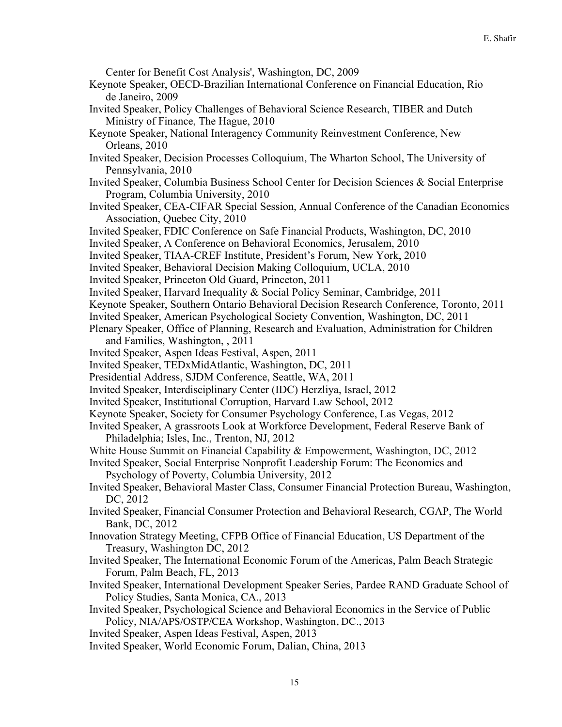Center for Benefit Cost Analysis', Washington, DC, 2009

- Keynote Speaker, OECD-Brazilian International Conference on Financial Education, Rio de Janeiro, 2009
- Invited Speaker, Policy Challenges of Behavioral Science Research, TIBER and Dutch Ministry of Finance, The Hague, 2010
- Keynote Speaker, National Interagency Community Reinvestment Conference, New Orleans, 2010
- Invited Speaker, Decision Processes Colloquium, The Wharton School, The University of Pennsylvania, 2010
- Invited Speaker, Columbia Business School Center for Decision Sciences & Social Enterprise Program, Columbia University, 2010
- Invited Speaker, CEA-CIFAR Special Session, Annual Conference of the Canadian Economics Association, Quebec City, 2010
- Invited Speaker, FDIC Conference on Safe Financial Products, Washington, DC, 2010
- Invited Speaker, A Conference on Behavioral Economics, Jerusalem, 2010
- Invited Speaker, TIAA-CREF Institute, President's Forum, New York, 2010
- Invited Speaker, Behavioral Decision Making Colloquium, UCLA, 2010
- Invited Speaker, Princeton Old Guard, Princeton, 2011
- Invited Speaker, Harvard Inequality & Social Policy Seminar, Cambridge, 2011
- Keynote Speaker, Southern Ontario Behavioral Decision Research Conference, Toronto, 2011
- Invited Speaker, American Psychological Society Convention, Washington, DC, 2011
- Plenary Speaker, Office of Planning, Research and Evaluation, Administration for Children and Families, Washington, , 2011
- Invited Speaker, Aspen Ideas Festival, Aspen, 2011
- Invited Speaker, TEDxMidAtlantic, Washington, DC, 2011
- Presidential Address, SJDM Conference, Seattle, WA, 2011
- Invited Speaker, Interdisciplinary Center (IDC) Herzliya, Israel, 2012
- Invited Speaker, Institutional Corruption, Harvard Law School, 2012
- Keynote Speaker, Society for Consumer Psychology Conference, Las Vegas, 2012
- Invited Speaker, A grassroots Look at Workforce Development, Federal Reserve Bank of Philadelphia; Isles, Inc., Trenton, NJ, 2012
- White House Summit on Financial Capability & Empowerment, Washington, DC, 2012
- Invited Speaker, Social Enterprise Nonprofit Leadership Forum: The Economics and Psychology of Poverty, Columbia University, 2012
- Invited Speaker, Behavioral Master Class, Consumer Financial Protection Bureau, Washington, DC, 2012
- Invited Speaker, Financial Consumer Protection and Behavioral Research, CGAP, The World Bank, DC, 2012
- Innovation Strategy Meeting, CFPB Office of Financial Education, US Department of the Treasury, Washington DC, 2012
- Invited Speaker, The International Economic Forum of the Americas, Palm Beach Strategic Forum, Palm Beach, FL, 2013
- Invited Speaker, International Development Speaker Series, Pardee RAND Graduate School of Policy Studies, Santa Monica, CA., 2013
- Invited Speaker, Psychological Science and Behavioral Economics in the Service of Public Policy, NIA/APS/OSTP/CEA Workshop, Washington, DC., 2013
- Invited Speaker, Aspen Ideas Festival, Aspen, 2013
- Invited Speaker, World Economic Forum, Dalian, China, 2013